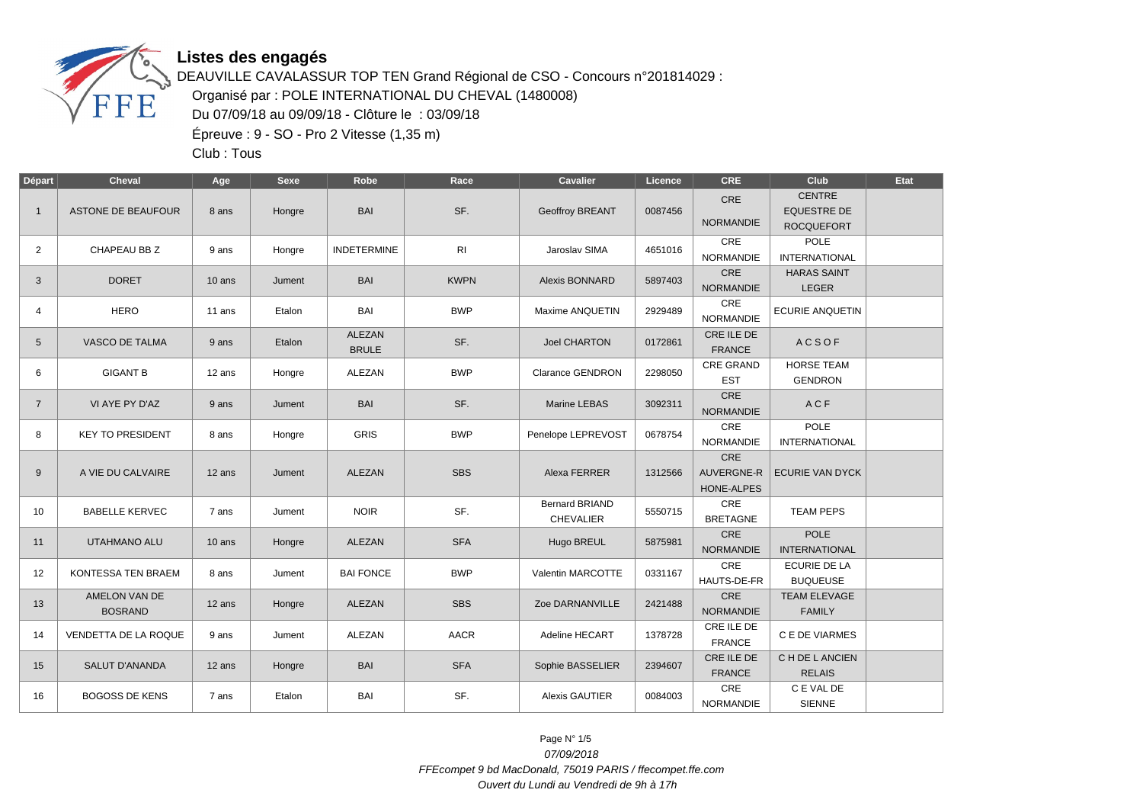

DEAUVILLE CAVALASSUR TOP TEN Grand Régional de CSO - Concours n°201814029 : Organisé par : POLE INTERNATIONAL DU CHEVAL (1480008) Du 07/09/18 au 09/09/18 - Clôture le : 03/09/18 Épreuve : 9 - SO - Pro 2 Vitesse (1,35 m)

Club : Tous

| Départ         | <b>Cheval</b>                   | Age      | Sexe   | Robe                          | Race        | <b>Cavalier</b>                           | Licence | <b>CRE</b>                             | Club                                                     | Etat |
|----------------|---------------------------------|----------|--------|-------------------------------|-------------|-------------------------------------------|---------|----------------------------------------|----------------------------------------------------------|------|
| $\mathbf{1}$   | ASTONE DE BEAUFOUR              | 8 ans    | Hongre | <b>BAI</b>                    | SF.         | Geoffroy BREANT                           | 0087456 | CRE<br><b>NORMANDIE</b>                | <b>CENTRE</b><br><b>EQUESTRE DE</b><br><b>ROCQUEFORT</b> |      |
| $\overline{2}$ | CHAPEAU BB Z                    | 9 ans    | Hongre | <b>INDETERMINE</b>            | RI          | Jaroslav SIMA                             | 4651016 | <b>CRE</b><br><b>NORMANDIE</b>         | <b>POLE</b><br><b>INTERNATIONAL</b>                      |      |
| 3              | <b>DORET</b>                    | $10$ ans | Jument | <b>BAI</b>                    | <b>KWPN</b> | Alexis BONNARD                            | 5897403 | CRE<br><b>NORMANDIE</b>                | <b>HARAS SAINT</b><br><b>LEGER</b>                       |      |
| 4              | <b>HERO</b>                     | 11 ans   | Etalon | <b>BAI</b>                    | <b>BWP</b>  | Maxime ANQUETIN                           | 2929489 | CRE<br><b>NORMANDIE</b>                | <b>ECURIE ANQUETIN</b>                                   |      |
| 5              | <b>VASCO DE TALMA</b>           | 9 ans    | Etalon | <b>ALEZAN</b><br><b>BRULE</b> | SF.         | <b>Joel CHARTON</b>                       | 0172861 | CRE ILE DE<br><b>FRANCE</b>            | <b>ACSOF</b>                                             |      |
| 6              | <b>GIGANT B</b>                 | 12 ans   | Hongre | <b>ALEZAN</b>                 | <b>BWP</b>  | <b>Clarance GENDRON</b>                   | 2298050 | CRE GRAND<br><b>EST</b>                | <b>HORSE TEAM</b><br><b>GENDRON</b>                      |      |
| $\overline{7}$ | VI AYE PY D'AZ                  | 9 ans    | Jument | <b>BAI</b>                    | SF.         | Marine LEBAS                              | 3092311 | CRE<br><b>NORMANDIE</b>                | ACF                                                      |      |
| 8              | <b>KEY TO PRESIDENT</b>         | 8 ans    | Hongre | <b>GRIS</b>                   | <b>BWP</b>  | Penelope LEPREVOST                        | 0678754 | CRE<br><b>NORMANDIE</b>                | POLE<br><b>INTERNATIONAL</b>                             |      |
| 9              | A VIE DU CALVAIRE               | 12 ans   | Jument | ALEZAN                        | <b>SBS</b>  | Alexa FERRER                              | 1312566 | CRE<br><b>AUVERGNE-R</b><br>HONE-ALPES | <b>ECURIE VAN DYCK</b>                                   |      |
| 10             | <b>BABELLE KERVEC</b>           | 7 ans    | Jument | <b>NOIR</b>                   | SF.         | <b>Bernard BRIAND</b><br><b>CHEVALIER</b> | 5550715 | CRE<br><b>BRETAGNE</b>                 | <b>TEAM PEPS</b>                                         |      |
| 11             | UTAHMANO ALU                    | 10 ans   | Hongre | <b>ALEZAN</b>                 | <b>SFA</b>  | Hugo BREUL                                | 5875981 | CRE<br><b>NORMANDIE</b>                | <b>POLE</b><br><b>INTERNATIONAL</b>                      |      |
| 12             | KONTESSA TEN BRAEM              | 8 ans    | Jument | <b>BAI FONCE</b>              | <b>BWP</b>  | Valentin MARCOTTE                         | 0331167 | <b>CRE</b><br>HAUTS-DE-FR              | <b>ECURIE DE LA</b><br><b>BUQUEUSE</b>                   |      |
| 13             | AMELON VAN DE<br><b>BOSRAND</b> | 12 ans   | Hongre | ALEZAN                        | <b>SBS</b>  | Zoe DARNANVILLE                           | 2421488 | CRE<br><b>NORMANDIE</b>                | <b>TEAM ELEVAGE</b><br><b>FAMILY</b>                     |      |
| 14             | VENDETTA DE LA ROQUE            | 9 ans    | Jument | ALEZAN                        | <b>AACR</b> | Adeline HECART                            | 1378728 | CRE ILE DE<br><b>FRANCE</b>            | C E DE VIARMES                                           |      |
| 15             | <b>SALUT D'ANANDA</b>           | 12 ans   | Hongre | <b>BAI</b>                    | <b>SFA</b>  | Sophie BASSELIER                          | 2394607 | CRE ILE DE<br><b>FRANCE</b>            | C H DE L ANCIEN<br><b>RELAIS</b>                         |      |
| 16             | <b>BOGOSS DE KENS</b>           | 7 ans    | Etalon | BAI                           | SF.         | <b>Alexis GAUTIER</b>                     | 0084003 | CRE<br><b>NORMANDIE</b>                | C E VAL DE<br><b>SIENNE</b>                              |      |

Page N° 1/5 07/09/2018 FFEcompet 9 bd MacDonald, 75019 PARIS / ffecompet.ffe.com Ouvert du Lundi au Vendredi de 9h à 17h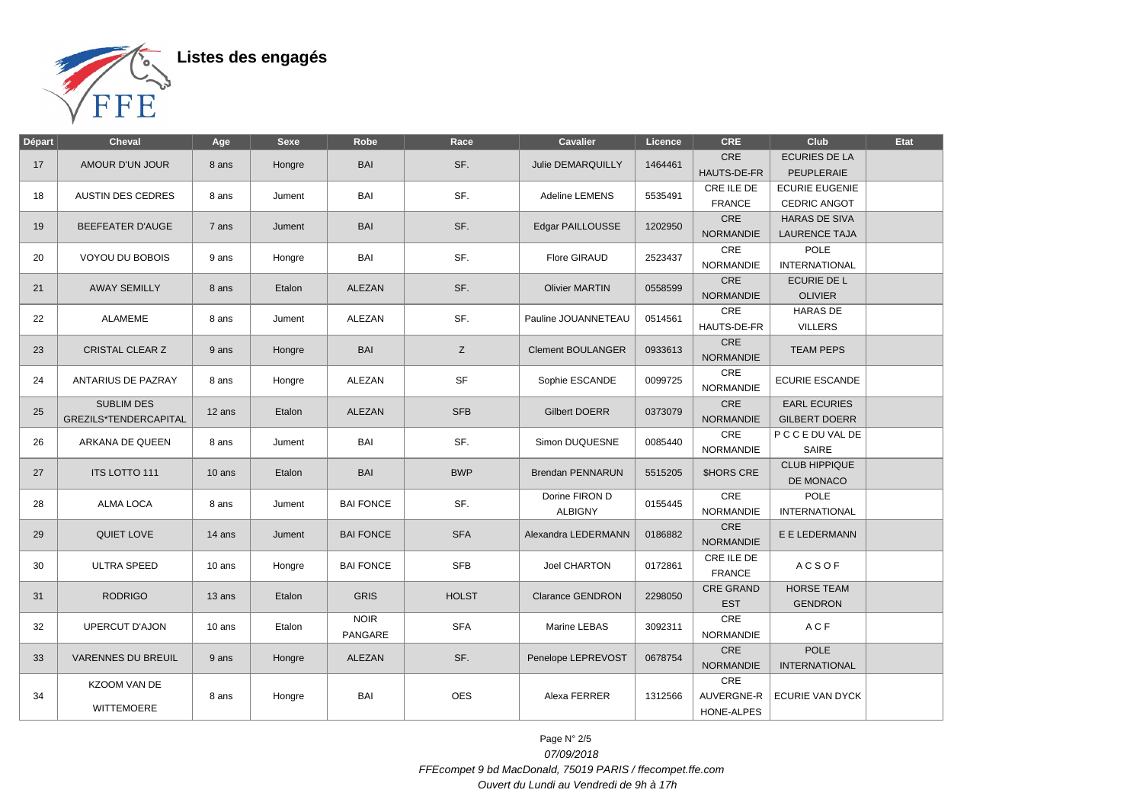

| Départ | <b>Cheval</b>                                     | Age    | <b>Sexe</b> | Robe                   | Race         | Cavalier                         | Licence | <b>CRE</b>                       | Club                                         | Etat |
|--------|---------------------------------------------------|--------|-------------|------------------------|--------------|----------------------------------|---------|----------------------------------|----------------------------------------------|------|
| 17     | AMOUR D'UN JOUR                                   | 8 ans  | Hongre      | <b>BAI</b>             | SF.          | Julie DEMARQUILLY                | 1464461 | <b>CRE</b><br><b>HAUTS-DE-FR</b> | <b>ECURIES DE LA</b><br>PEUPLERAIE           |      |
| 18     | <b>AUSTIN DES CEDRES</b>                          | 8 ans  | Jument      | BAI                    | SF.          | Adeline LEMENS                   | 5535491 | CRE ILE DE<br><b>FRANCE</b>      | <b>ECURIE EUGENIE</b><br>CEDRIC ANGOT        |      |
| 19     | <b>BEEFEATER D'AUGE</b>                           | 7 ans  | Jument      | <b>BAI</b>             | SF.          | Edgar PAILLOUSSE                 | 1202950 | CRE<br><b>NORMANDIE</b>          | <b>HARAS DE SIVA</b><br><b>LAURENCE TAJA</b> |      |
| 20     | VOYOU DU BOBOIS                                   | 9 ans  | Hongre      | BAI                    | SF.          | <b>Flore GIRAUD</b>              | 2523437 | CRE<br><b>NORMANDIE</b>          | <b>POLE</b><br><b>INTERNATIONAL</b>          |      |
| 21     | <b>AWAY SEMILLY</b>                               | 8 ans  | Etalon      | ALEZAN                 | SF.          | <b>Olivier MARTIN</b>            | 0558599 | CRE<br><b>NORMANDIE</b>          | ECURIE DE L<br><b>OLIVIER</b>                |      |
| 22     | <b>ALAMEME</b>                                    | 8 ans  | Jument      | <b>ALEZAN</b>          | SF.          | Pauline JOUANNETEAU              | 0514561 | CRE<br>HAUTS-DE-FR               | <b>HARAS DE</b><br><b>VILLERS</b>            |      |
| 23     | <b>CRISTAL CLEAR Z</b>                            | 9 ans  | Hongre      | <b>BAI</b>             | Z            | <b>Clement BOULANGER</b>         | 0933613 | CRE<br><b>NORMANDIE</b>          | <b>TEAM PEPS</b>                             |      |
| 24     | ANTARIUS DE PAZRAY                                | 8 ans  | Hongre      | ALEZAN                 | SF           | Sophie ESCANDE                   | 0099725 | CRE<br><b>NORMANDIE</b>          | <b>ECURIE ESCANDE</b>                        |      |
| 25     | <b>SUBLIM DES</b><br><b>GREZILS*TENDERCAPITAL</b> | 12 ans | Etalon      | ALEZAN                 | <b>SFB</b>   | <b>Gilbert DOERR</b>             | 0373079 | CRE<br><b>NORMANDIE</b>          | <b>EARL ECURIES</b><br><b>GILBERT DOERR</b>  |      |
| 26     | ARKANA DE QUEEN                                   | 8 ans  | Jument      | BAI                    | SF.          | Simon DUQUESNE                   | 0085440 | CRE<br><b>NORMANDIE</b>          | P C C E DU VAL DE<br>SAIRE                   |      |
| 27     | <b>ITS LOTTO 111</b>                              | 10 ans | Etalon      | BAI                    | <b>BWP</b>   | Brendan PENNARUN                 | 5515205 | <b>SHORS CRE</b>                 | <b>CLUB HIPPIQUE</b><br>DE MONACO            |      |
| 28     | <b>ALMA LOCA</b>                                  | 8 ans  | Jument      | <b>BAI FONCE</b>       | SF.          | Dorine FIRON D<br><b>ALBIGNY</b> | 0155445 | CRE<br><b>NORMANDIE</b>          | POLE<br><b>INTERNATIONAL</b>                 |      |
| 29     | QUIET LOVE                                        | 14 ans | Jument      | <b>BAI FONCE</b>       | <b>SFA</b>   | Alexandra LEDERMANN              | 0186882 | CRE<br><b>NORMANDIE</b>          | E E LEDERMANN                                |      |
| 30     | <b>ULTRA SPEED</b>                                | 10 ans | Hongre      | <b>BAI FONCE</b>       | <b>SFB</b>   | <b>Joel CHARTON</b>              | 0172861 | CRE ILE DE<br><b>FRANCE</b>      | <b>ACSOF</b>                                 |      |
| 31     | <b>RODRIGO</b>                                    | 13 ans | Etalon      | <b>GRIS</b>            | <b>HOLST</b> | <b>Clarance GENDRON</b>          | 2298050 | <b>CRE GRAND</b><br><b>EST</b>   | <b>HORSE TEAM</b><br><b>GENDRON</b>          |      |
| 32     | <b>UPERCUT D'AJON</b>                             | 10 ans | Etalon      | <b>NOIR</b><br>PANGARE | <b>SFA</b>   | Marine LEBAS                     | 3092311 | CRE<br>NORMANDIE                 | ACF                                          |      |
| 33     | <b>VARENNES DU BREUIL</b>                         | 9 ans  | Hongre      | ALEZAN                 | SF.          | Penelope LEPREVOST               | 0678754 | CRE<br><b>NORMANDIE</b>          | <b>POLE</b><br><b>INTERNATIONAL</b>          |      |
| 34     | KZOOM VAN DE<br><b>WITTEMOERE</b>                 | 8 ans  | Hongre      | BAI                    | <b>OES</b>   | Alexa FERRER                     | 1312566 | CRE<br>AUVERGNE-R<br>HONE-ALPES  | ECURIE VAN DYCK                              |      |

Page N° 2/5 07/09/2018 FFEcompet 9 bd MacDonald, 75019 PARIS / ffecompet.ffe.com Ouvert du Lundi au Vendredi de 9h à 17h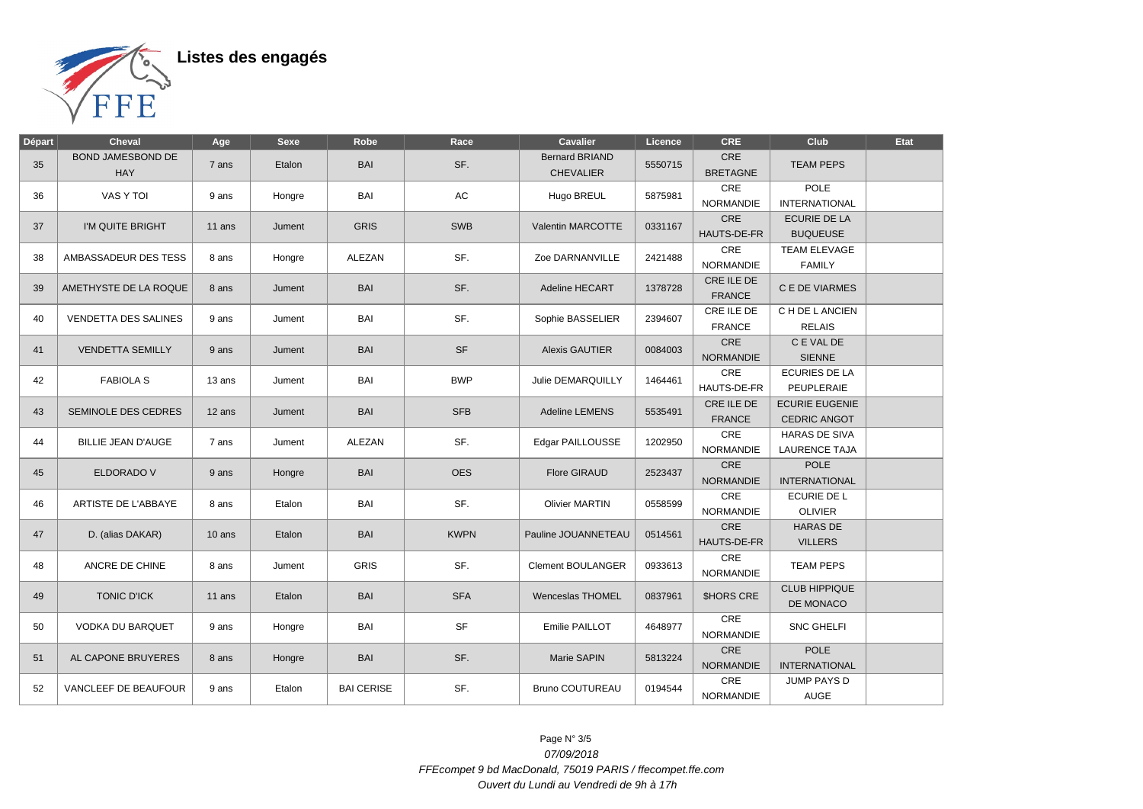

| Départ | <b>Cheval</b>                   | Age      | <b>Sexe</b> | Robe              | Race        | <b>Cavalier</b>                    | Licence | <b>CRE</b>                     | Club                                   | Etat |
|--------|---------------------------------|----------|-------------|-------------------|-------------|------------------------------------|---------|--------------------------------|----------------------------------------|------|
| 35     | BOND JAMESBOND DE<br><b>HAY</b> | 7 ans    | Etalon      | BAI               | SF.         | <b>Bernard BRIAND</b><br>CHEVALIER | 5550715 | CRE<br><b>BRETAGNE</b>         | <b>TEAM PEPS</b>                       |      |
| 36     | VAS Y TOI                       | 9 ans    | Hongre      | BAI               | AC          | Hugo BREUL                         | 5875981 | CRE<br><b>NORMANDIE</b>        | <b>POLE</b><br><b>INTERNATIONAL</b>    |      |
| 37     | I'M QUITE BRIGHT                | $11$ ans | Jument      | <b>GRIS</b>       | <b>SWB</b>  | Valentin MARCOTTE                  | 0331167 | CRE<br>HAUTS-DE-FR             | <b>ECURIE DE LA</b><br><b>BUQUEUSE</b> |      |
| 38     | AMBASSADEUR DES TESS            | 8 ans    | Hongre      | ALEZAN            | SF.         | Zoe DARNANVILLE                    | 2421488 | CRE<br><b>NORMANDIE</b>        | <b>TEAM ELEVAGE</b><br><b>FAMILY</b>   |      |
| 39     | AMETHYSTE DE LA ROQUE           | 8 ans    | Jument      | <b>BAI</b>        | SF.         | Adeline HECART                     | 1378728 | CRE ILE DE<br><b>FRANCE</b>    | C E DE VIARMES                         |      |
| 40     | <b>VENDETTA DES SALINES</b>     | 9 ans    | Jument      | BAI               | SF.         | Sophie BASSELIER                   | 2394607 | CRE ILE DE<br><b>FRANCE</b>    | C H DE L ANCIEN<br><b>RELAIS</b>       |      |
| 41     | <b>VENDETTA SEMILLY</b>         | 9 ans    | Jument      | <b>BAI</b>        | <b>SF</b>   | <b>Alexis GAUTIER</b>              | 0084003 | CRE<br><b>NORMANDIE</b>        | C E VAL DE<br><b>SIENNE</b>            |      |
| 42     | <b>FABIOLA S</b>                | 13 ans   | Jument      | BAI               | <b>BWP</b>  | Julie DEMARQUILLY                  | 1464461 | CRE<br>HAUTS-DE-FR             | <b>ECURIES DE LA</b><br>PEUPLERAIE     |      |
| 43     | SEMINOLE DES CEDRES             | 12 ans   | Jument      | BAI               | <b>SFB</b>  | <b>Adeline LEMENS</b>              | 5535491 | CRE ILE DE<br><b>FRANCE</b>    | <b>ECURIE EUGENIE</b><br>CEDRIC ANGOT  |      |
| 44     | <b>BILLIE JEAN D'AUGE</b>       | 7 ans    | Jument      | <b>ALEZAN</b>     | SF.         | Edgar PAILLOUSSE                   | 1202950 | CRE<br><b>NORMANDIE</b>        | <b>HARAS DE SIVA</b><br>LAURENCE TAJA  |      |
| 45     | ELDORADO V                      | 9 ans    | Hongre      | BAI               | <b>OES</b>  | <b>Flore GIRAUD</b>                | 2523437 | CRE<br><b>NORMANDIE</b>        | <b>POLE</b><br><b>INTERNATIONAL</b>    |      |
| 46     | ARTISTE DE L'ABBAYE             | 8 ans    | Etalon      | BAI               | SF.         | <b>Olivier MARTIN</b>              | 0558599 | CRE<br><b>NORMANDIE</b>        | <b>ECURIE DE L</b><br><b>OLIVIER</b>   |      |
| 47     | D. (alias DAKAR)                | 10 ans   | Etalon      | <b>BAI</b>        | <b>KWPN</b> | Pauline JOUANNETEAU                | 0514561 | <b>CRE</b><br>HAUTS-DE-FR      | <b>HARAS DE</b><br><b>VILLERS</b>      |      |
| 48     | ANCRE DE CHINE                  | 8 ans    | Jument      | <b>GRIS</b>       | SF.         | <b>Clement BOULANGER</b>           | 0933613 | <b>CRE</b><br><b>NORMANDIE</b> | <b>TEAM PEPS</b>                       |      |
| 49     | <b>TONIC D'ICK</b>              | 11 ans   | Etalon      | <b>BAI</b>        | <b>SFA</b>  | Wenceslas THOMEL                   | 0837961 | <b>\$HORS CRE</b>              | <b>CLUB HIPPIQUE</b><br>DE MONACO      |      |
| 50     | <b>VODKA DU BARQUET</b>         | 9 ans    | Hongre      | <b>BAI</b>        | <b>SF</b>   | Emilie PAILLOT                     | 4648977 | CRE<br><b>NORMANDIE</b>        | <b>SNC GHELFI</b>                      |      |
| 51     | AL CAPONE BRUYERES              | 8 ans    | Hongre      | BAI               | SF.         | Marie SAPIN                        | 5813224 | <b>CRE</b><br><b>NORMANDIE</b> | <b>POLE</b><br><b>INTERNATIONAL</b>    |      |
| 52     | VANCLEEF DE BEAUFOUR            | 9 ans    | Etalon      | <b>BAI CERISE</b> | SF.         | <b>Bruno COUTUREAU</b>             | 0194544 | <b>CRE</b><br>NORMANDIE        | <b>JUMP PAYS D</b><br><b>AUGE</b>      |      |

Page N° 3/5 07/09/2018 FFEcompet 9 bd MacDonald, 75019 PARIS / ffecompet.ffe.com Ouvert du Lundi au Vendredi de 9h à 17h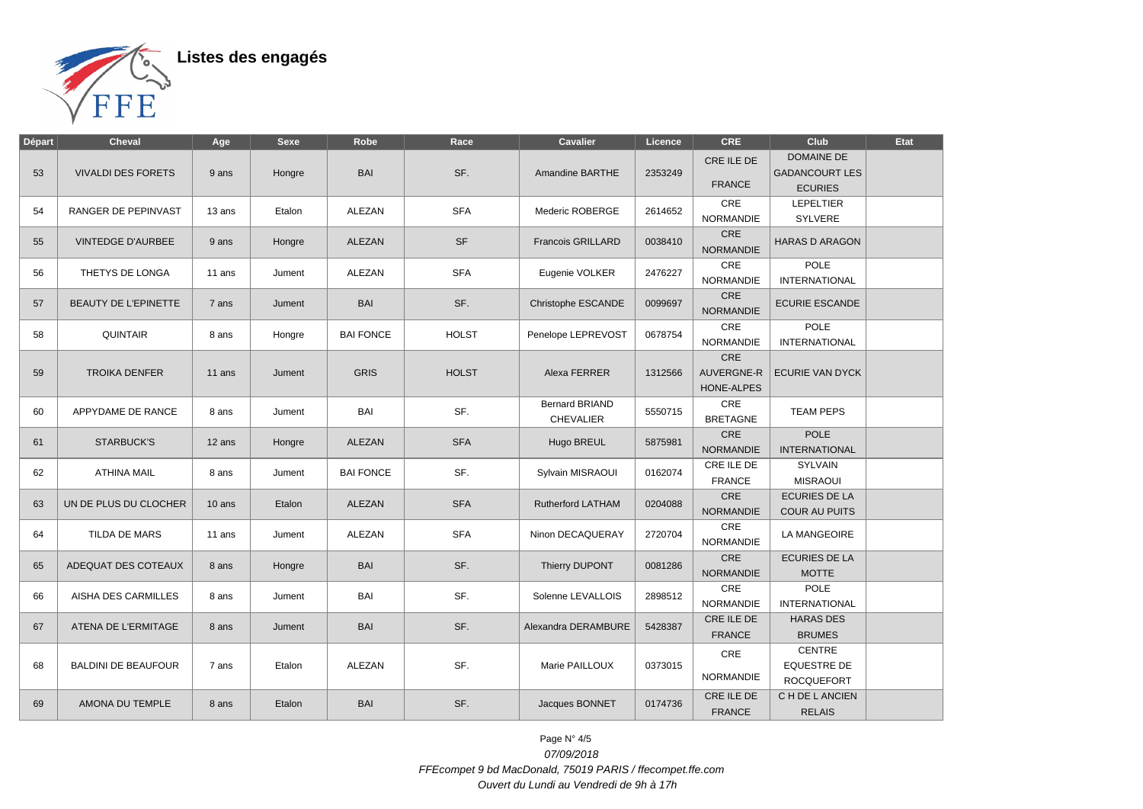

| <b>Départ</b> | <b>Cheval</b>               | Age    | <b>Sexe</b> | Robe             | Race         | <b>Cavalier</b>                           | Licence | <b>CRE</b>                      | Club                                                         | Etat |
|---------------|-----------------------------|--------|-------------|------------------|--------------|-------------------------------------------|---------|---------------------------------|--------------------------------------------------------------|------|
| 53            | <b>VIVALDI DES FORETS</b>   | 9 ans  | Hongre      | <b>BAI</b>       | SF.          | <b>Amandine BARTHE</b>                    | 2353249 | CRE ILE DE<br><b>FRANCE</b>     | <b>DOMAINE DE</b><br><b>GADANCOURT LES</b><br><b>ECURIES</b> |      |
| 54            | RANGER DE PEPINVAST         | 13 ans | Etalon      | ALEZAN           | <b>SFA</b>   | Mederic ROBERGE                           | 2614652 | CRE<br><b>NORMANDIE</b>         | <b>LEPELTIER</b><br>SYLVERE                                  |      |
| 55            | <b>VINTEDGE D'AURBEE</b>    | 9 ans  | Hongre      | ALEZAN           | <b>SF</b>    | <b>Francois GRILLARD</b>                  | 0038410 | CRE<br><b>NORMANDIE</b>         | <b>HARAS D ARAGON</b>                                        |      |
| 56            | THETYS DE LONGA             | 11 ans | Jument      | ALEZAN           | <b>SFA</b>   | Eugenie VOLKER                            | 2476227 | CRE<br>NORMANDIE                | <b>POLE</b><br><b>INTERNATIONAL</b>                          |      |
| 57            | <b>BEAUTY DE L'EPINETTE</b> | 7 ans  | Jument      | <b>BAI</b>       | SF.          | Christophe ESCANDE                        | 0099697 | CRE<br><b>NORMANDIE</b>         | <b>ECURIE ESCANDE</b>                                        |      |
| 58            | <b>QUINTAIR</b>             | 8 ans  | Hongre      | <b>BAI FONCE</b> | <b>HOLST</b> | Penelope LEPREVOST                        | 0678754 | CRE<br><b>NORMANDIE</b>         | <b>POLE</b><br><b>INTERNATIONAL</b>                          |      |
| 59            | <b>TROIKA DENFER</b>        | 11 ans | Jument      | <b>GRIS</b>      | <b>HOLST</b> | Alexa FERRER                              | 1312566 | CRE<br>AUVERGNE-R<br>HONE-ALPES | <b>ECURIE VAN DYCK</b>                                       |      |
| 60            | APPYDAME DE RANCE           | 8 ans  | Jument      | BAI              | SF.          | <b>Bernard BRIAND</b><br><b>CHEVALIER</b> | 5550715 | CRE<br><b>BRETAGNE</b>          | <b>TEAM PEPS</b>                                             |      |
| 61            | <b>STARBUCK'S</b>           | 12 ans | Hongre      | ALEZAN           | <b>SFA</b>   | Hugo BREUL                                | 5875981 | <b>CRE</b><br><b>NORMANDIE</b>  | <b>POLE</b><br><b>INTERNATIONAL</b>                          |      |
| 62            | <b>ATHINA MAIL</b>          | 8 ans  | Jument      | <b>BAI FONCE</b> | SF.          | Sylvain MISRAOUI                          | 0162074 | CRE ILE DE<br><b>FRANCE</b>     | <b>SYLVAIN</b><br><b>MISRAOUI</b>                            |      |
| 63            | UN DE PLUS DU CLOCHER       | 10 ans | Etalon      | <b>ALEZAN</b>    | <b>SFA</b>   | <b>Rutherford LATHAM</b>                  | 0204088 | CRE<br><b>NORMANDIE</b>         | <b>ECURIES DE LA</b><br>COUR AU PUITS                        |      |
| 64            | TILDA DE MARS               | 11 ans | Jument      | ALEZAN           | <b>SFA</b>   | Ninon DECAQUERAY                          | 2720704 | CRE<br><b>NORMANDIE</b>         | <b>LA MANGEOIRE</b>                                          |      |
| 65            | ADEQUAT DES COTEAUX         | 8 ans  | Hongre      | <b>BAI</b>       | SF.          | Thierry DUPONT                            | 0081286 | CRE<br><b>NORMANDIE</b>         | <b>ECURIES DE LA</b><br><b>MOTTE</b>                         |      |
| 66            | AISHA DES CARMILLES         | 8 ans  | Jument      | BAI              | SF.          | Solenne LEVALLOIS                         | 2898512 | CRE<br><b>NORMANDIE</b>         | POLE<br><b>INTERNATIONAL</b>                                 |      |
| 67            | ATENA DE L'ERMITAGE         | 8 ans  | Jument      | <b>BAI</b>       | SF.          | Alexandra DERAMBURE                       | 5428387 | CRE ILE DE<br><b>FRANCE</b>     | <b>HARAS DES</b><br><b>BRUMES</b>                            |      |
| 68            | <b>BALDINI DE BEAUFOUR</b>  | 7 ans  | Etalon      | ALEZAN           | SF.          | Marie PAILLOUX                            | 0373015 | <b>CRE</b><br><b>NORMANDIE</b>  | <b>CENTRE</b><br><b>EQUESTRE DE</b><br><b>ROCQUEFORT</b>     |      |
| 69            | AMONA DU TEMPLE             | 8 ans  | Etalon      | <b>BAI</b>       | SF.          | Jacques BONNET                            | 0174736 | CRE ILE DE<br><b>FRANCE</b>     | C H DE L ANCIEN<br><b>RELAIS</b>                             |      |

Page N° 4/5 07/09/2018 FFEcompet 9 bd MacDonald, 75019 PARIS / ffecompet.ffe.com Ouvert du Lundi au Vendredi de 9h à 17h